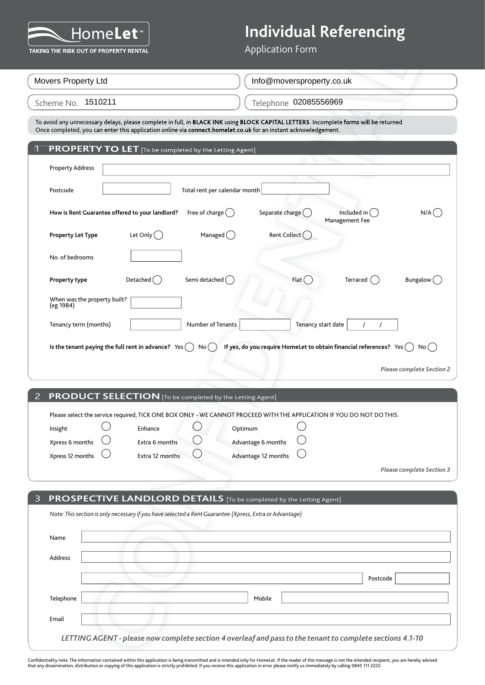

## **Individual Referencing**

| EV H C<br>TAKING THE RISK OUT OF PROPERTY RENTAL        |                                                                                                         | O<br><b>Application Form</b>                                                                                                                                                                                                                              |
|---------------------------------------------------------|---------------------------------------------------------------------------------------------------------|-----------------------------------------------------------------------------------------------------------------------------------------------------------------------------------------------------------------------------------------------------------|
|                                                         |                                                                                                         |                                                                                                                                                                                                                                                           |
| Movers Property Ltd                                     |                                                                                                         | Info@moversproperty.co.uk                                                                                                                                                                                                                                 |
| Scheme No. 1510211                                      |                                                                                                         | Telephone 02085556969                                                                                                                                                                                                                                     |
|                                                         |                                                                                                         | To avoid any unnecessary delays, please complete in full, in BLACK INK using BLOCK CAPITAL LETTERS. Incomplete forms will be returned.<br>Once completed, you can enter this application online via connect.homelet.co.uk for an instant acknowledgement. |
|                                                         | PROPERTY TO LET [To be completed by the Letting Agent]                                                  |                                                                                                                                                                                                                                                           |
| <b>Property Address</b>                                 |                                                                                                         |                                                                                                                                                                                                                                                           |
| Postcode                                                | Total rent per calendar month                                                                           |                                                                                                                                                                                                                                                           |
| How is Rent Guarantee offered to your landlord?         | Free of charge $($ )                                                                                    | Included in (<br>Separate charge (<br>N/A<br>Management Fee                                                                                                                                                                                               |
| <b>Property Let Type</b>                                | Let Only $( )$<br>Managed $($ )                                                                         | Rent Collect (                                                                                                                                                                                                                                            |
| No. of bedrooms                                         |                                                                                                         |                                                                                                                                                                                                                                                           |
| Property type                                           | Semi detached (<br>Detached $($                                                                         | Flat(<br>Terraced ()<br>Bungalow (                                                                                                                                                                                                                        |
| When was the property built?<br>(eg 1984)               |                                                                                                         |                                                                                                                                                                                                                                                           |
| Tenancy term (months)                                   | Number of Tenants                                                                                       | Tenancy start date<br>$\prime$<br>$\prime$                                                                                                                                                                                                                |
| Is the tenant paying the full rent in advance? $Yes( )$ |                                                                                                         | If yes, do you require HomeLet to obtain financial references? $Yes( )$<br><b>Please complete Section 2</b>                                                                                                                                               |
| 2                                                       | <b>PRODUCT SELECTION</b> [To be completed by the Letting Agent]                                         |                                                                                                                                                                                                                                                           |
| Insight<br>Xpress 6 months<br>Xpress 12 months          | Enhance<br>Extra 6 months<br>Extra 12 months                                                            | Please select the service required, TICK ONE BOX ONLY - WE CANNOT PROCEED WITH THE APPLICATION IF YOU DO NOT DO THIS.<br>Optimum<br>Advantage 6 months<br>Advantage 12 months                                                                             |
|                                                         |                                                                                                         | <b>Please complete Section 3</b>                                                                                                                                                                                                                          |
|                                                         |                                                                                                         | PROSPECTIVE LANDLORD DETAILS [To be completed by the Letting Agent]                                                                                                                                                                                       |
|                                                         | Note: This section is only necessary if you have selected a Rent Guarantee (Xpress, Extra or Advantage) |                                                                                                                                                                                                                                                           |
| Name                                                    |                                                                                                         |                                                                                                                                                                                                                                                           |
| Address                                                 |                                                                                                         |                                                                                                                                                                                                                                                           |
|                                                         |                                                                                                         | Postcode                                                                                                                                                                                                                                                  |
| Telephone                                               |                                                                                                         | Mobile                                                                                                                                                                                                                                                    |
| Email                                                   |                                                                                                         |                                                                                                                                                                                                                                                           |
|                                                         |                                                                                                         | LETTING AGENT - please now complete section 4 overleaf and pass to the tenant to complete sections 4.1-10                                                                                                                                                 |

Confidentiality note: The information contained within this application is being transmitted and is intended only for HomeLet. If the reader of this message is not the intended recipient, you are hereby advised<br>that any di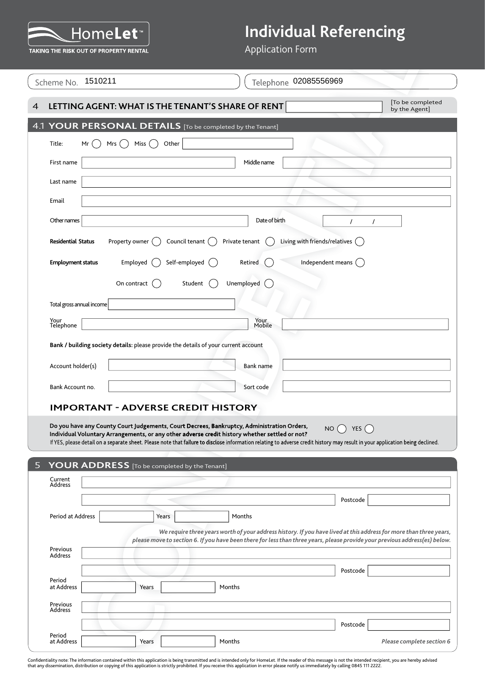

| <u>I IVIII CHES</u><br>TAKING THE RISK OUT OF PROPERTY RENTAL |                                                                                     | ___<br><b>Application Form</b>                                                                                                                                                                                                                    | - o                              |
|---------------------------------------------------------------|-------------------------------------------------------------------------------------|---------------------------------------------------------------------------------------------------------------------------------------------------------------------------------------------------------------------------------------------------|----------------------------------|
| Scheme No. 1510211                                            |                                                                                     | Telephone 02085556969                                                                                                                                                                                                                             |                                  |
|                                                               |                                                                                     | LETTING AGENT: WHAT IS THE TENANT'S SHARE OF RENT                                                                                                                                                                                                 | To be completed<br>by the Agent] |
|                                                               |                                                                                     | 4.1 YOUR PERSONAL DETAILS [To be completed by the Tenant]                                                                                                                                                                                         |                                  |
| Title:<br>Mr                                                  | Other<br>Mrs $($ )<br>Miss ( )                                                      |                                                                                                                                                                                                                                                   |                                  |
| First name                                                    |                                                                                     | Middle name                                                                                                                                                                                                                                       |                                  |
| Last name                                                     |                                                                                     |                                                                                                                                                                                                                                                   |                                  |
| Email                                                         |                                                                                     |                                                                                                                                                                                                                                                   |                                  |
| Other names                                                   |                                                                                     | Date of birth                                                                                                                                                                                                                                     | $\prime$                         |
| <b>Residential Status</b>                                     | Property owner (<br>Council tenant ()                                               | Living with friends/relatives $\bigcap$<br>Private tenant                                                                                                                                                                                         |                                  |
| <b>Employment status</b>                                      | Self-employed ()<br>Employed $($                                                    | Independent means $\bigcap$<br>Retired                                                                                                                                                                                                            |                                  |
|                                                               | On contract<br>Student                                                              | Unemployed                                                                                                                                                                                                                                        |                                  |
| Total gross annual income                                     |                                                                                     |                                                                                                                                                                                                                                                   |                                  |
| Your<br>Telephone                                             |                                                                                     | Your<br>Mobile                                                                                                                                                                                                                                    |                                  |
|                                                               | Bank / building society details: please provide the details of your current account |                                                                                                                                                                                                                                                   |                                  |
|                                                               |                                                                                     |                                                                                                                                                                                                                                                   |                                  |
| Account holder(s)                                             |                                                                                     | Bank name                                                                                                                                                                                                                                         |                                  |
| Bank Account no.                                              |                                                                                     | Sort code                                                                                                                                                                                                                                         |                                  |
|                                                               | <b>IMPORTANT - ADVERSE CREDIT HISTORY</b>                                           |                                                                                                                                                                                                                                                   |                                  |
|                                                               |                                                                                     | Do you have any County Court Judgements, Court Decrees, Bankruptcy, Administration Orders,<br>Individual Voluntary Arrangements, or any other adverse credit history whether settled or not?                                                      | NO $\bigcap$ YES $\bigcap$       |
|                                                               |                                                                                     | If YES, please detail on a separate sheet. Please note that failure to disclose information relating to adverse credit history may result in your application being declined.                                                                     |                                  |
|                                                               | YOUR ADDRESS [To be completed by the Tenant]                                        |                                                                                                                                                                                                                                                   |                                  |
| Current<br><b>Address</b>                                     |                                                                                     |                                                                                                                                                                                                                                                   |                                  |
|                                                               |                                                                                     |                                                                                                                                                                                                                                                   | Postcode                         |
| Period at Address                                             | Years                                                                               | Months                                                                                                                                                                                                                                            |                                  |
|                                                               |                                                                                     | We require three years worth of your address history. If you have lived at this address for more than three years,<br>please move to section 6. If you have been there for less than three years, please provide your previous address(es) below. |                                  |
| Previous<br>Address                                           |                                                                                     |                                                                                                                                                                                                                                                   |                                  |
|                                                               |                                                                                     |                                                                                                                                                                                                                                                   | Postcode                         |
|                                                               |                                                                                     |                                                                                                                                                                                                                                                   |                                  |
| Period<br>at Address                                          | Years                                                                               | Months                                                                                                                                                                                                                                            |                                  |
|                                                               |                                                                                     |                                                                                                                                                                                                                                                   |                                  |
| Previous<br>Address                                           |                                                                                     |                                                                                                                                                                                                                                                   | Postcode                         |

Confidentiality note: The information contained within this application is being transmitted and is intended only for HomeLet. If the reader of this message is not the intended recipient, you are hereby advised<br>that any di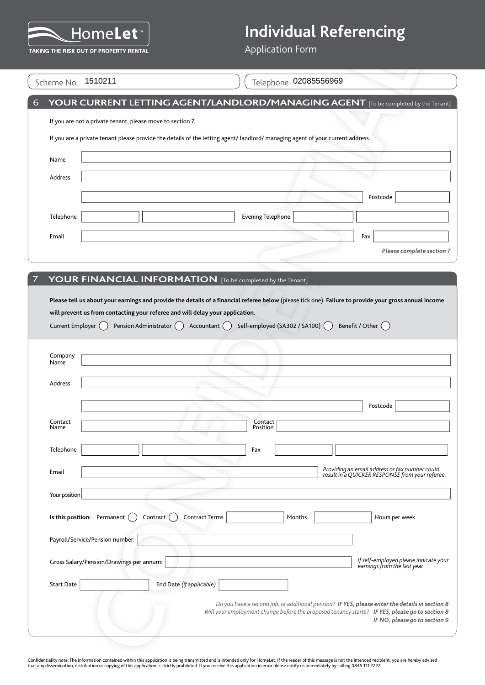

|                                |                                                            |                                                                                                                                   | <b>Application Form</b>                                                                                                        |                                                                                                                                                                                     |
|--------------------------------|------------------------------------------------------------|-----------------------------------------------------------------------------------------------------------------------------------|--------------------------------------------------------------------------------------------------------------------------------|-------------------------------------------------------------------------------------------------------------------------------------------------------------------------------------|
|                                | TAKING THE RISK OUT OF PROPERTY RENTAL                     |                                                                                                                                   |                                                                                                                                |                                                                                                                                                                                     |
|                                | Scheme No. 1510211                                         |                                                                                                                                   | Telephone 02085556969                                                                                                          |                                                                                                                                                                                     |
|                                |                                                            |                                                                                                                                   |                                                                                                                                | YOUR CURRENT LETTING AGENT/LANDLORD/MANAGING AGENT [To be completed by the Tenant]                                                                                                  |
|                                | If you are not a private tenant, please move to section 7. |                                                                                                                                   |                                                                                                                                |                                                                                                                                                                                     |
|                                |                                                            |                                                                                                                                   | If you are a private tenant please provide the details of the letting agent/ landlord/ managing agent of your current address. |                                                                                                                                                                                     |
| Name                           |                                                            |                                                                                                                                   |                                                                                                                                |                                                                                                                                                                                     |
| Address                        |                                                            |                                                                                                                                   |                                                                                                                                |                                                                                                                                                                                     |
|                                |                                                            |                                                                                                                                   |                                                                                                                                | Postcode                                                                                                                                                                            |
| Telephone                      |                                                            |                                                                                                                                   | <b>Evening Telephone</b>                                                                                                       |                                                                                                                                                                                     |
| Email                          |                                                            |                                                                                                                                   |                                                                                                                                | Fax                                                                                                                                                                                 |
|                                |                                                            |                                                                                                                                   |                                                                                                                                | Please complete section 7                                                                                                                                                           |
|                                |                                                            |                                                                                                                                   |                                                                                                                                |                                                                                                                                                                                     |
|                                |                                                            |                                                                                                                                   | YOUR FINANCIAL INFORMATION [To be completed by the Tenant]                                                                     |                                                                                                                                                                                     |
| Current Employer ()<br>Company |                                                            | will prevent us from contacting your referee and will delay your application.<br>Accountant $\bigcap$<br>Pension Administrator () | Self-employed (SA302 / SA100) (                                                                                                | Please tell us about your earnings and provide the details of a financial referee below (please tick one). Failure to provide your gross annual income<br>Benefit / Other $\bigcap$ |
| Name                           |                                                            |                                                                                                                                   |                                                                                                                                |                                                                                                                                                                                     |
| Address                        |                                                            |                                                                                                                                   |                                                                                                                                |                                                                                                                                                                                     |
|                                |                                                            |                                                                                                                                   |                                                                                                                                | Postcode                                                                                                                                                                            |
| Contact<br>Name                |                                                            |                                                                                                                                   | Contact<br>Position                                                                                                            |                                                                                                                                                                                     |
| Telephone                      |                                                            |                                                                                                                                   | Fax                                                                                                                            |                                                                                                                                                                                     |
|                                |                                                            |                                                                                                                                   |                                                                                                                                | Providing an email address or fax number could                                                                                                                                      |
| Email                          |                                                            |                                                                                                                                   |                                                                                                                                | result in a QUICKER RESPONSE from your referee.                                                                                                                                     |
| Your position                  |                                                            |                                                                                                                                   |                                                                                                                                |                                                                                                                                                                                     |
|                                | Is this position: Permanent (                              | <b>Contract Terms</b><br>Contract (                                                                                               | Months                                                                                                                         | Hours per week                                                                                                                                                                      |
|                                | Payroll/Service/Pension number:                            |                                                                                                                                   |                                                                                                                                |                                                                                                                                                                                     |
|                                | Gross Salary/Pension/Drawings per annum:                   |                                                                                                                                   |                                                                                                                                | If self-employed please indicate your                                                                                                                                               |
| <b>Start Date</b>              |                                                            | End Date (if applicable)                                                                                                          |                                                                                                                                | earnings from the last year                                                                                                                                                         |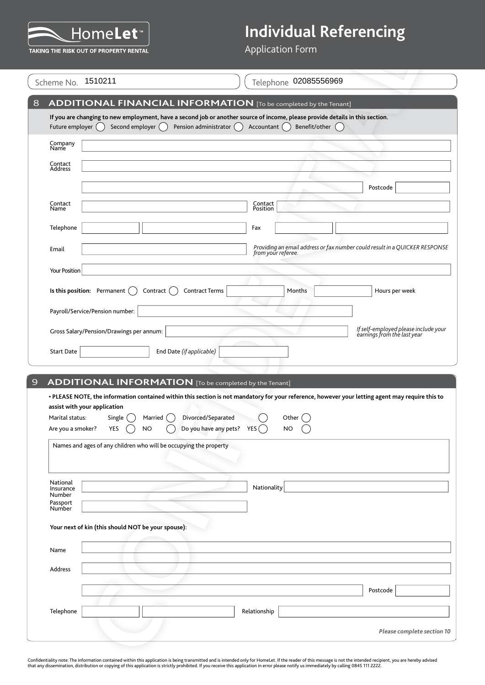

|                     | Scheme No. 1510211                                                | Telephone 02085556969                                                                                                                                                                                    |
|---------------------|-------------------------------------------------------------------|----------------------------------------------------------------------------------------------------------------------------------------------------------------------------------------------------------|
|                     |                                                                   |                                                                                                                                                                                                          |
|                     |                                                                   | <b>ADDITIONAL FINANCIAL INFORMATION</b> [To be completed by the Tenant]<br>If you are changing to new employment, have a second job or another source of income, please provide details in this section. |
| Future employer ()  | Second employer ()                                                | Pension administrator<br>Benefit/other<br>Accountant (                                                                                                                                                   |
| Company<br>Name     |                                                                   |                                                                                                                                                                                                          |
| Contact<br>Address  |                                                                   |                                                                                                                                                                                                          |
|                     |                                                                   | Postcode                                                                                                                                                                                                 |
| Contact             |                                                                   | Contact<br>Position                                                                                                                                                                                      |
| Name                |                                                                   |                                                                                                                                                                                                          |
| Telephone           |                                                                   | Fax                                                                                                                                                                                                      |
| Email               |                                                                   | Providing an email address or fax number could result in a QUICKER RESPONSE<br>from your referee.                                                                                                        |
| Your Position       |                                                                   |                                                                                                                                                                                                          |
|                     | Is this position: Permanent<br>Contract                           | <b>Contract Terms</b><br>Months<br>Hours per week                                                                                                                                                        |
|                     | Payroll/Service/Pension number:                                   |                                                                                                                                                                                                          |
|                     | Gross Salary/Pension/Drawings per annum:                          | If self-employed please include your<br>earnings from the last year                                                                                                                                      |
|                     |                                                                   |                                                                                                                                                                                                          |
| <b>Start Date</b>   | End Date (if applicable)                                          |                                                                                                                                                                                                          |
|                     | <b>ADDITIONAL INFORMATION</b> [To be completed by the Tenant]     |                                                                                                                                                                                                          |
|                     |                                                                   | . PLEASE NOTE, the information contained within this section is not mandatory for your reference, however your letting agent may require this to                                                         |
| Marital status:     | assist with your application<br>Single<br>Married                 | Divorced/Separated<br>Other                                                                                                                                                                              |
| Are you a smoker?   | YES<br><b>NO</b>                                                  | Do you have any pets? $YES$<br>NO                                                                                                                                                                        |
|                     | Names and ages of any children who will be occupying the property |                                                                                                                                                                                                          |
|                     |                                                                   |                                                                                                                                                                                                          |
|                     |                                                                   | Nationality                                                                                                                                                                                              |
| National            |                                                                   |                                                                                                                                                                                                          |
| Insurance<br>Number |                                                                   |                                                                                                                                                                                                          |
| Passport<br>Number  |                                                                   |                                                                                                                                                                                                          |
|                     | Your next of kin (this should NOT be your spouse):                |                                                                                                                                                                                                          |
| Name                |                                                                   |                                                                                                                                                                                                          |
| Address             |                                                                   |                                                                                                                                                                                                          |
|                     |                                                                   |                                                                                                                                                                                                          |
| Telephone           |                                                                   | Postcode<br>Relationship                                                                                                                                                                                 |